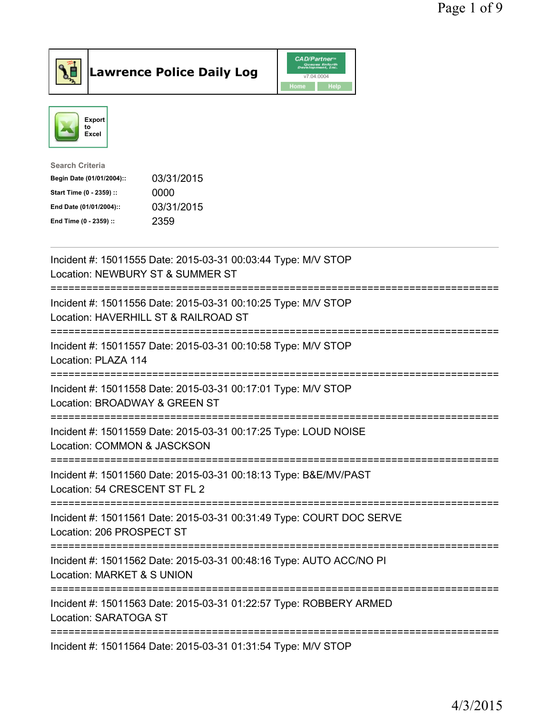



| <b>Search Criteria</b>    |            |
|---------------------------|------------|
| Begin Date (01/01/2004):: | 03/31/2015 |
| Start Time (0 - 2359) ::  | 0000       |
| End Date (01/01/2004)::   | 03/31/2015 |
| End Time (0 - 2359) ::    | 2359       |
|                           |            |

| Incident #: 15011555 Date: 2015-03-31 00:03:44 Type: M/V STOP<br>Location: NEWBURY ST & SUMMER ST                            |
|------------------------------------------------------------------------------------------------------------------------------|
| Incident #: 15011556 Date: 2015-03-31 00:10:25 Type: M/V STOP<br>Location: HAVERHILL ST & RAILROAD ST                        |
| Incident #: 15011557 Date: 2015-03-31 00:10:58 Type: M/V STOP<br>Location: PLAZA 114                                         |
| Incident #: 15011558 Date: 2015-03-31 00:17:01 Type: M/V STOP<br>Location: BROADWAY & GREEN ST                               |
| Incident #: 15011559 Date: 2015-03-31 00:17:25 Type: LOUD NOISE<br>Location: COMMON & JASCKSON                               |
| Incident #: 15011560 Date: 2015-03-31 00:18:13 Type: B&E/MV/PAST<br>Location: 54 CRESCENT ST FL 2<br>----------------------- |
| Incident #: 15011561 Date: 2015-03-31 00:31:49 Type: COURT DOC SERVE<br>Location: 206 PROSPECT ST                            |
| Incident #: 15011562 Date: 2015-03-31 00:48:16 Type: AUTO ACC/NO PI<br>Location: MARKET & S UNION                            |
| Incident #: 15011563 Date: 2015-03-31 01:22:57 Type: ROBBERY ARMED<br>Location: SARATOGA ST                                  |
| Incident #: 15011564 Date: 2015-03-31 01:31:54 Type: M/V STOP                                                                |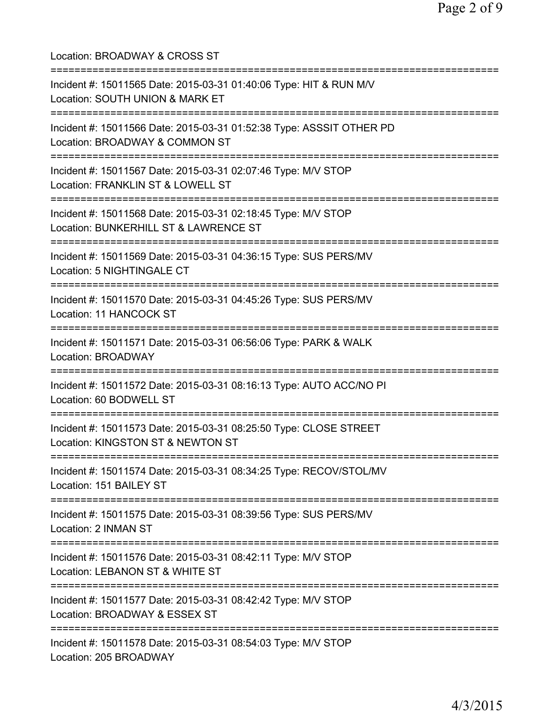| Location: BROADWAY & CROSS ST                                                                                                                  |
|------------------------------------------------------------------------------------------------------------------------------------------------|
| Incident #: 15011565 Date: 2015-03-31 01:40:06 Type: HIT & RUN M/V<br>Location: SOUTH UNION & MARK ET<br>===================================   |
| Incident #: 15011566 Date: 2015-03-31 01:52:38 Type: ASSSIT OTHER PD<br>Location: BROADWAY & COMMON ST<br>==================================== |
| Incident #: 15011567 Date: 2015-03-31 02:07:46 Type: M/V STOP<br>Location: FRANKLIN ST & LOWELL ST<br>;===================================     |
| Incident #: 15011568 Date: 2015-03-31 02:18:45 Type: M/V STOP<br>Location: BUNKERHILL ST & LAWRENCE ST                                         |
| Incident #: 15011569 Date: 2015-03-31 04:36:15 Type: SUS PERS/MV<br>Location: 5 NIGHTINGALE CT                                                 |
| Incident #: 15011570 Date: 2015-03-31 04:45:26 Type: SUS PERS/MV<br>Location: 11 HANCOCK ST                                                    |
| Incident #: 15011571 Date: 2015-03-31 06:56:06 Type: PARK & WALK<br><b>Location: BROADWAY</b>                                                  |
| Incident #: 15011572 Date: 2015-03-31 08:16:13 Type: AUTO ACC/NO PI<br>Location: 60 BODWELL ST                                                 |
| Incident #: 15011573 Date: 2015-03-31 08:25:50 Type: CLOSE STREET<br>Location: KINGSTON ST & NEWTON ST                                         |
| Incident #: 15011574 Date: 2015-03-31 08:34:25 Type: RECOV/STOL/MV<br>Location: 151 BAILEY ST                                                  |
| Incident #: 15011575 Date: 2015-03-31 08:39:56 Type: SUS PERS/MV<br>Location: 2 INMAN ST                                                       |
| =====================<br>Incident #: 15011576 Date: 2015-03-31 08:42:11 Type: M/V STOP<br>Location: LEBANON ST & WHITE ST                      |
| Incident #: 15011577 Date: 2015-03-31 08:42:42 Type: M/V STOP<br>Location: BROADWAY & ESSEX ST                                                 |
| Incident #: 15011578 Date: 2015-03-31 08:54:03 Type: M/V STOP<br>Location: 205 BROADWAY                                                        |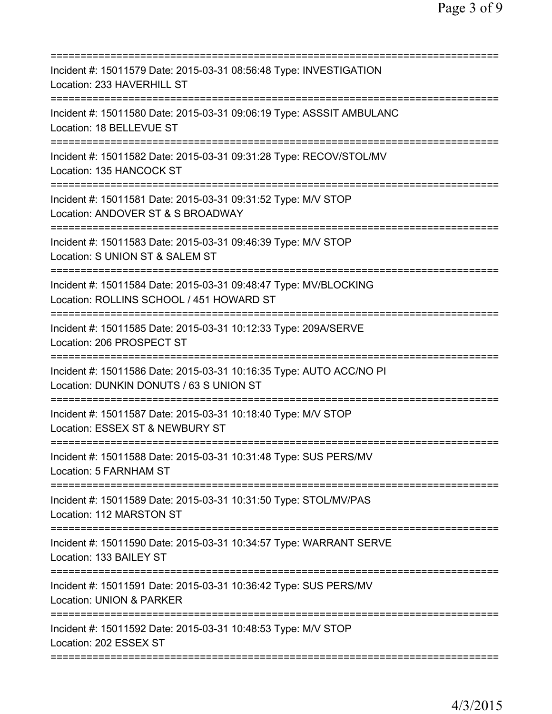| Incident #: 15011579 Date: 2015-03-31 08:56:48 Type: INVESTIGATION<br>Location: 233 HAVERHILL ST               |
|----------------------------------------------------------------------------------------------------------------|
| Incident #: 15011580 Date: 2015-03-31 09:06:19 Type: ASSSIT AMBULANC<br>Location: 18 BELLEVUE ST               |
| Incident #: 15011582 Date: 2015-03-31 09:31:28 Type: RECOV/STOL/MV<br>Location: 135 HANCOCK ST                 |
| Incident #: 15011581 Date: 2015-03-31 09:31:52 Type: M/V STOP<br>Location: ANDOVER ST & S BROADWAY             |
| Incident #: 15011583 Date: 2015-03-31 09:46:39 Type: M/V STOP<br>Location: S UNION ST & SALEM ST               |
| Incident #: 15011584 Date: 2015-03-31 09:48:47 Type: MV/BLOCKING<br>Location: ROLLINS SCHOOL / 451 HOWARD ST   |
| Incident #: 15011585 Date: 2015-03-31 10:12:33 Type: 209A/SERVE<br>Location: 206 PROSPECT ST<br>=============  |
| Incident #: 15011586 Date: 2015-03-31 10:16:35 Type: AUTO ACC/NO PI<br>Location: DUNKIN DONUTS / 63 S UNION ST |
| Incident #: 15011587 Date: 2015-03-31 10:18:40 Type: M/V STOP<br>Location: ESSEX ST & NEWBURY ST               |
| Incident #: 15011588 Date: 2015-03-31 10:31:48 Type: SUS PERS/MV<br>Location: 5 FARNHAM ST                     |
| Incident #: 15011589 Date: 2015-03-31 10:31:50 Type: STOL/MV/PAS<br>Location: 112 MARSTON ST                   |
| Incident #: 15011590 Date: 2015-03-31 10:34:57 Type: WARRANT SERVE<br>Location: 133 BAILEY ST                  |
| Incident #: 15011591 Date: 2015-03-31 10:36:42 Type: SUS PERS/MV<br><b>Location: UNION &amp; PARKER</b>        |
| ================<br>Incident #: 15011592 Date: 2015-03-31 10:48:53 Type: M/V STOP<br>Location: 202 ESSEX ST    |
|                                                                                                                |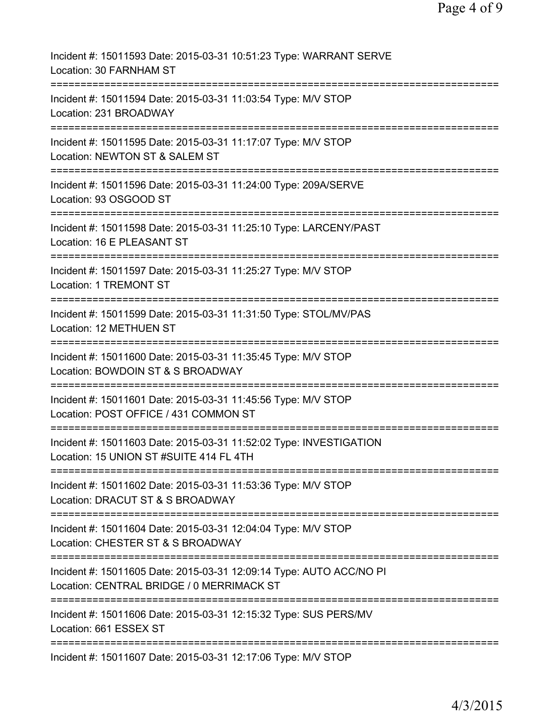| Incident #: 15011593 Date: 2015-03-31 10:51:23 Type: WARRANT SERVE<br>Location: 30 FARNHAM ST                                                                                 |
|-------------------------------------------------------------------------------------------------------------------------------------------------------------------------------|
| Incident #: 15011594 Date: 2015-03-31 11:03:54 Type: M/V STOP<br>Location: 231 BROADWAY                                                                                       |
| Incident #: 15011595 Date: 2015-03-31 11:17:07 Type: M/V STOP<br>Location: NEWTON ST & SALEM ST                                                                               |
| Incident #: 15011596 Date: 2015-03-31 11:24:00 Type: 209A/SERVE<br>Location: 93 OSGOOD ST                                                                                     |
| =====================================<br>Incident #: 15011598 Date: 2015-03-31 11:25:10 Type: LARCENY/PAST<br>Location: 16 E PLEASANT ST                                      |
| Incident #: 15011597 Date: 2015-03-31 11:25:27 Type: M/V STOP<br>Location: 1 TREMONT ST                                                                                       |
| Incident #: 15011599 Date: 2015-03-31 11:31:50 Type: STOL/MV/PAS<br>Location: 12 METHUEN ST                                                                                   |
| Incident #: 15011600 Date: 2015-03-31 11:35:45 Type: M/V STOP<br>Location: BOWDOIN ST & S BROADWAY                                                                            |
| Incident #: 15011601 Date: 2015-03-31 11:45:56 Type: M/V STOP<br>Location: POST OFFICE / 431 COMMON ST                                                                        |
| Incident #: 15011603 Date: 2015-03-31 11:52:02 Type: INVESTIGATION<br>Location: 15 UNION ST #SUITE 414 FL 4TH                                                                 |
| Incident #: 15011602 Date: 2015-03-31 11:53:36 Type: M/V STOP<br>Location: DRACUT ST & S BROADWAY                                                                             |
| ============================<br>Incident #: 15011604 Date: 2015-03-31 12:04:04 Type: M/V STOP<br>Location: CHESTER ST & S BROADWAY                                            |
| Incident #: 15011605 Date: 2015-03-31 12:09:14 Type: AUTO ACC/NO PI<br>Location: CENTRAL BRIDGE / 0 MERRIMACK ST                                                              |
| =====================================<br>======================================<br>Incident #: 15011606 Date: 2015-03-31 12:15:32 Type: SUS PERS/MV<br>Location: 661 ESSEX ST |
| Incident #: 15011607 Date: 2015-03-31 12:17:06 Type: M/V STOP                                                                                                                 |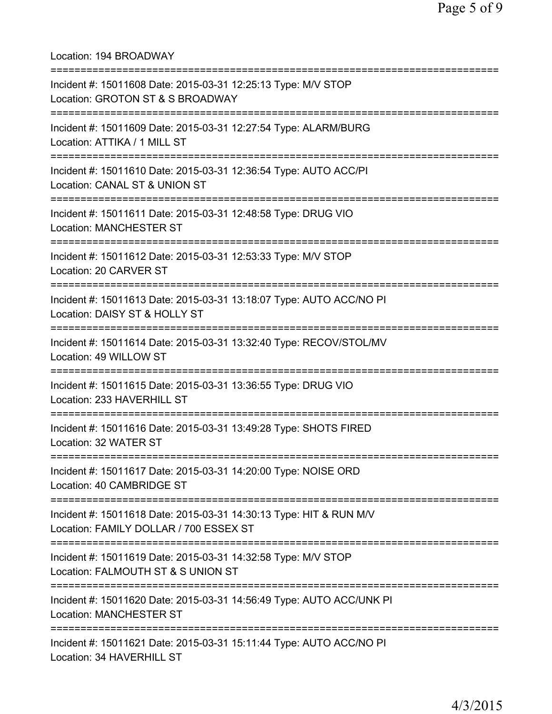Location: 194 BROADWAY =========================================================================== Incident #: 15011608 Date: 2015-03-31 12:25:13 Type: M/V STOP Location: GROTON ST & S BROADWAY =========================================================================== Incident #: 15011609 Date: 2015-03-31 12:27:54 Type: ALARM/BURG Location: ATTIKA / 1 MILL ST =========================================================================== Incident #: 15011610 Date: 2015-03-31 12:36:54 Type: AUTO ACC/PI Location: CANAL ST & UNION ST =========================================================================== Incident #: 15011611 Date: 2015-03-31 12:48:58 Type: DRUG VIO Location: MANCHESTER ST =========================================================================== Incident #: 15011612 Date: 2015-03-31 12:53:33 Type: M/V STOP Location: 20 CARVER ST =========================================================================== Incident #: 15011613 Date: 2015-03-31 13:18:07 Type: AUTO ACC/NO PI Location: DAISY ST & HOLLY ST =========================================================================== Incident #: 15011614 Date: 2015-03-31 13:32:40 Type: RECOV/STOL/MV Location: 49 WILLOW ST =========================================================================== Incident #: 15011615 Date: 2015-03-31 13:36:55 Type: DRUG VIO Location: 233 HAVERHILL ST =========================================================================== Incident #: 15011616 Date: 2015-03-31 13:49:28 Type: SHOTS FIRED Location: 32 WATER ST =========================================================================== Incident #: 15011617 Date: 2015-03-31 14:20:00 Type: NOISE ORD Location: 40 CAMBRIDGE ST =========================================================================== Incident #: 15011618 Date: 2015-03-31 14:30:13 Type: HIT & RUN M/V Location: FAMILY DOLLAR / 700 ESSEX ST =========================================================================== Incident #: 15011619 Date: 2015-03-31 14:32:58 Type: M/V STOP Location: FALMOUTH ST & S UNION ST =========================================================================== Incident #: 15011620 Date: 2015-03-31 14:56:49 Type: AUTO ACC/UNK PI Location: MANCHESTER ST =========================================================================== Incident #: 15011621 Date: 2015-03-31 15:11:44 Type: AUTO ACC/NO PI Location: 34 HAVERHILL ST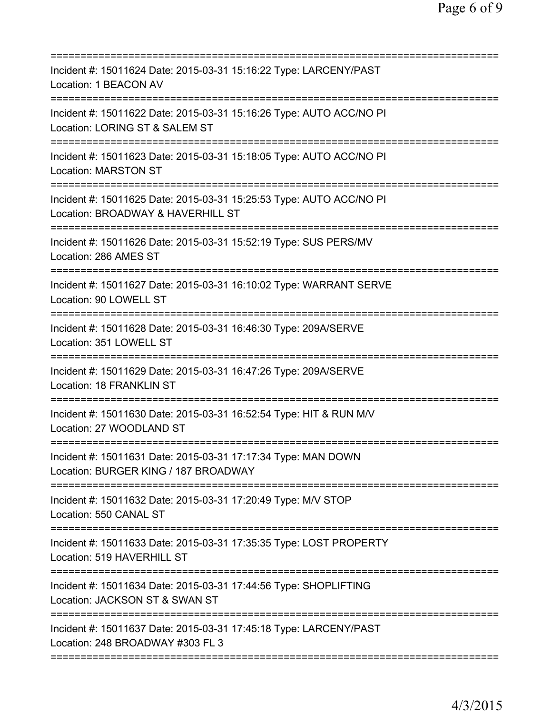| Incident #: 15011624 Date: 2015-03-31 15:16:22 Type: LARCENY/PAST<br>Location: 1 BEACON AV                                                   |
|----------------------------------------------------------------------------------------------------------------------------------------------|
| Incident #: 15011622 Date: 2015-03-31 15:16:26 Type: AUTO ACC/NO PI<br>Location: LORING ST & SALEM ST                                        |
| Incident #: 15011623 Date: 2015-03-31 15:18:05 Type: AUTO ACC/NO PI<br><b>Location: MARSTON ST</b>                                           |
| Incident #: 15011625 Date: 2015-03-31 15:25:53 Type: AUTO ACC/NO PI<br>Location: BROADWAY & HAVERHILL ST                                     |
| Incident #: 15011626 Date: 2015-03-31 15:52:19 Type: SUS PERS/MV<br>Location: 286 AMES ST                                                    |
| Incident #: 15011627 Date: 2015-03-31 16:10:02 Type: WARRANT SERVE<br>Location: 90 LOWELL ST                                                 |
| Incident #: 15011628 Date: 2015-03-31 16:46:30 Type: 209A/SERVE<br>Location: 351 LOWELL ST                                                   |
| Incident #: 15011629 Date: 2015-03-31 16:47:26 Type: 209A/SERVE<br>Location: 18 FRANKLIN ST                                                  |
| Incident #: 15011630 Date: 2015-03-31 16:52:54 Type: HIT & RUN M/V<br>Location: 27 WOODLAND ST                                               |
| Incident #: 15011631 Date: 2015-03-31 17:17:34 Type: MAN DOWN<br>Location: BURGER KING / 187 BROADWAY<br>=================================== |
| Incident #: 15011632 Date: 2015-03-31 17:20:49 Type: M/V STOP<br>Location: 550 CANAL ST                                                      |
| Incident #: 15011633 Date: 2015-03-31 17:35:35 Type: LOST PROPERTY<br>Location: 519 HAVERHILL ST                                             |
| Incident #: 15011634 Date: 2015-03-31 17:44:56 Type: SHOPLIFTING<br>Location: JACKSON ST & SWAN ST                                           |
| Incident #: 15011637 Date: 2015-03-31 17:45:18 Type: LARCENY/PAST<br>Location: 248 BROADWAY #303 FL 3                                        |
|                                                                                                                                              |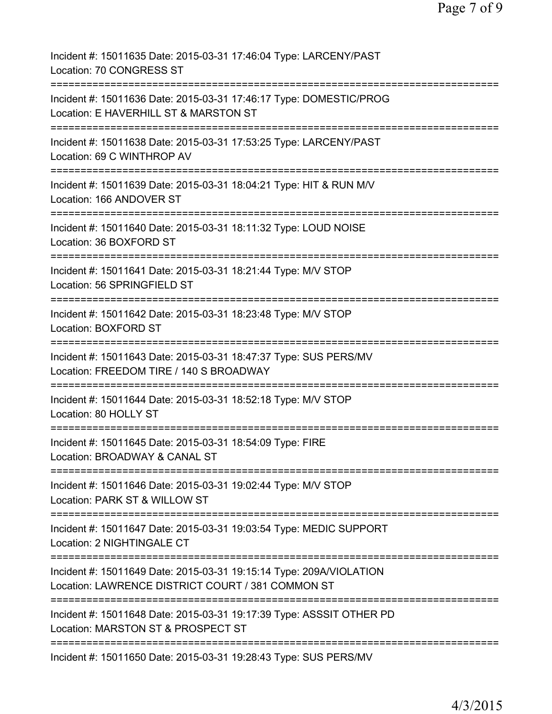| Incident #: 15011635 Date: 2015-03-31 17:46:04 Type: LARCENY/PAST<br>Location: 70 CONGRESS ST                                 |
|-------------------------------------------------------------------------------------------------------------------------------|
| Incident #: 15011636 Date: 2015-03-31 17:46:17 Type: DOMESTIC/PROG<br>Location: E HAVERHILL ST & MARSTON ST                   |
| Incident #: 15011638 Date: 2015-03-31 17:53:25 Type: LARCENY/PAST<br>Location: 69 C WINTHROP AV                               |
| Incident #: 15011639 Date: 2015-03-31 18:04:21 Type: HIT & RUN M/V<br>Location: 166 ANDOVER ST                                |
| Incident #: 15011640 Date: 2015-03-31 18:11:32 Type: LOUD NOISE<br>Location: 36 BOXFORD ST                                    |
| Incident #: 15011641 Date: 2015-03-31 18:21:44 Type: M/V STOP<br>Location: 56 SPRINGFIELD ST                                  |
| Incident #: 15011642 Date: 2015-03-31 18:23:48 Type: M/V STOP<br>Location: BOXFORD ST<br>:=================================== |
| Incident #: 15011643 Date: 2015-03-31 18:47:37 Type: SUS PERS/MV<br>Location: FREEDOM TIRE / 140 S BROADWAY                   |
| Incident #: 15011644 Date: 2015-03-31 18:52:18 Type: M/V STOP<br>Location: 80 HOLLY ST                                        |
| :==================<br>Incident #: 15011645 Date: 2015-03-31 18:54:09 Type: FIRE<br>Location: BROADWAY & CANAL ST             |
| Incident #: 15011646 Date: 2015-03-31 19:02:44 Type: M/V STOP<br>Location: PARK ST & WILLOW ST                                |
| Incident #: 15011647 Date: 2015-03-31 19:03:54 Type: MEDIC SUPPORT<br>Location: 2 NIGHTINGALE CT                              |
| Incident #: 15011649 Date: 2015-03-31 19:15:14 Type: 209A/VIOLATION<br>Location: LAWRENCE DISTRICT COURT / 381 COMMON ST      |
| Incident #: 15011648 Date: 2015-03-31 19:17:39 Type: ASSSIT OTHER PD<br>Location: MARSTON ST & PROSPECT ST                    |
| Incident #: 15011650 Date: 2015-03-31 19:28:43 Type: SUS PERS/MV                                                              |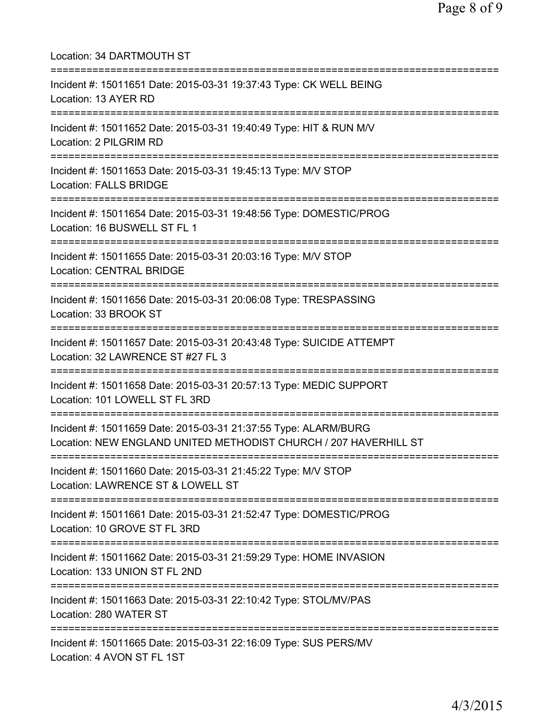| Location: 34 DARTMOUTH ST                                                                                                           |
|-------------------------------------------------------------------------------------------------------------------------------------|
| Incident #: 15011651 Date: 2015-03-31 19:37:43 Type: CK WELL BEING<br>Location: 13 AYER RD                                          |
| Incident #: 15011652 Date: 2015-03-31 19:40:49 Type: HIT & RUN M/V<br>Location: 2 PILGRIM RD                                        |
| Incident #: 15011653 Date: 2015-03-31 19:45:13 Type: M/V STOP<br><b>Location: FALLS BRIDGE</b>                                      |
| Incident #: 15011654 Date: 2015-03-31 19:48:56 Type: DOMESTIC/PROG<br>Location: 16 BUSWELL ST FL 1                                  |
| Incident #: 15011655 Date: 2015-03-31 20:03:16 Type: M/V STOP<br><b>Location: CENTRAL BRIDGE</b><br>=============================== |
| Incident #: 15011656 Date: 2015-03-31 20:06:08 Type: TRESPASSING<br>Location: 33 BROOK ST                                           |
| Incident #: 15011657 Date: 2015-03-31 20:43:48 Type: SUICIDE ATTEMPT<br>Location: 32 LAWRENCE ST #27 FL 3                           |
| Incident #: 15011658 Date: 2015-03-31 20:57:13 Type: MEDIC SUPPORT<br>Location: 101 LOWELL ST FL 3RD                                |
| Incident #: 15011659 Date: 2015-03-31 21:37:55 Type: ALARM/BURG<br>Location: NEW ENGLAND UNITED METHODIST CHURCH / 207 HAVERHILL ST |
| Incident #: 15011660 Date: 2015-03-31 21:45:22 Type: M/V STOP<br>Location: LAWRENCE ST & LOWELL ST                                  |
| Incident #: 15011661 Date: 2015-03-31 21:52:47 Type: DOMESTIC/PROG<br>Location: 10 GROVE ST FL 3RD                                  |
| Incident #: 15011662 Date: 2015-03-31 21:59:29 Type: HOME INVASION<br>Location: 133 UNION ST FL 2ND                                 |
| Incident #: 15011663 Date: 2015-03-31 22:10:42 Type: STOL/MV/PAS<br>Location: 280 WATER ST                                          |
| Incident #: 15011665 Date: 2015-03-31 22:16:09 Type: SUS PERS/MV<br>Location: 4 AVON ST FL 1ST                                      |